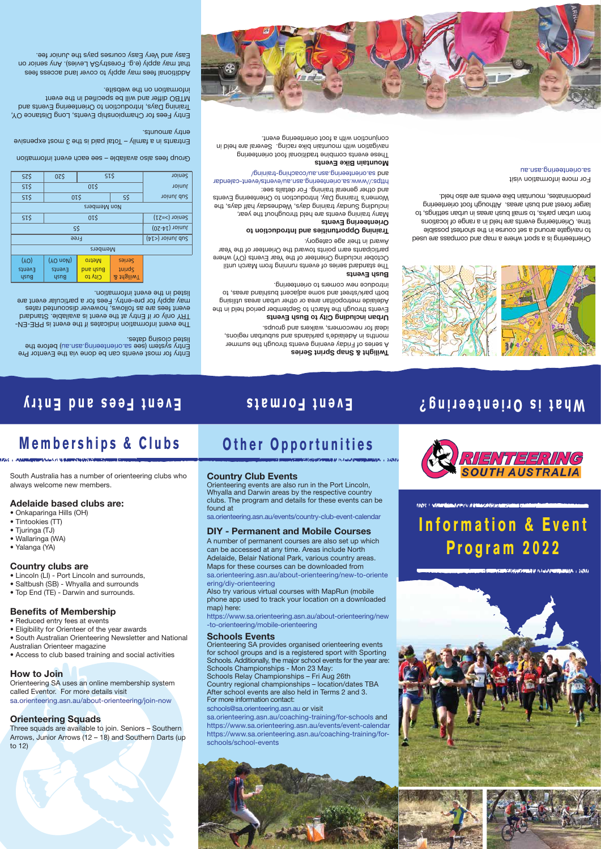# **Event Fees and Entry Event Formats What is Orienteering?**

### Entry for most events can be done via the Eventor Pre Entry system (see sa.orienteering.asn.au) before the listed closing dates.

- The event information indicates if the event is PRE-EN TRY only or if Entry at the event is available. Standard event fees are as follows, however discounted rates may apply for pre-entry. Fees for a particular event are listed in the event information.

## Twilight & Snap Sprint Series

A series of Friday evening events through the summer mouthe in Heigeides bareaus subsets and suburbands' ideal for newcomers, walkers and groups.

## Urban including City to Bush Events

Events through the March to September period held in the Adelaide metropolitan area or other urban areas utilising both park/street and some adjacent bushland areas, to introduce new comers to orienteering.

### Bush Events

Entrants in a family – Total paid is the 3 most expensive entry amounts.

> The standard series of events running from March until October including Orienteer of the Year Events (OY) where participants earn points toward the Orienteer of the Year Award in their age category.

Additional fees may apply to cover land access fees that may apply (e.g. ForestrySA Levies). Any senior on Easy and Very Easy courses pays the Junior fee.

## Training Opportunities and Introduction to

\$15 \$5 ior n Ju buS or is the state of the state of the state of the state of the state of the state of the state of the state of 82\$ | 02\$ | 31\$ | 10ineS

Non Members

Orienteering Events

Many training events are held throughout the year, including Sunday training days, Wednesday half ays, the Women's Training Day, Introduction to Orienteering Events and other general training. For details see:

https://www.sa.orienteering.asn.au/events/event-calendar sa.orienteering.asn.au/coaching-training/ and

### Mountain Bike Events

These events combine traditional foot orienteering navigation with mountain bike racing. Several are held in conjunction with a foot orienteering event.



Group fees also available – see each event information

 $0I\overline{S}$ 

Entry Fees for Championship Events, Long Distance OY, Training Days, Introduction to Orienteering Events and MTBO differ and will be specified in the event information on the website.

| SI\$   | Senior (>=21)           |                 |                   |  |
|--------|-------------------------|-----------------|-------------------|--|
|        | Junior $(14-20)$        |                 |                   |  |
|        | $(15)$ yoinul du $\geq$ |                 |                   |  |
|        |                         |                 |                   |  |
| (10)   | (YO noW)                | <b>Metro</b>    | Seines            |  |
| Events | Events                  | <b>pue</b> ysng | <b>Sprint</b>     |  |
| ysng   | ysng                    | $Cl$ to         | <b>Z</b> thgiliwT |  |

0T\$

Orienteering is a sport where a map and compass are used to navigate around a set course in the shortest possible time. Orienteering events are held in a range of locations from urban parks, to small bush areas in urban settings, to larger forest and bush areas. Although foot orienteering predominates, mountain bike events are also held.

For more information visit sa.orienteering.asn.au



South Australia has a number of orienteering clubs who

always welcome new members.

Adelaide based clubs are:

• Onkaparinga Hills (OH)

• Tintookies (TT) • Tjuringa (TJ) • Wallaringa (WA) • Yalanga (YA)

Country clubs are

• Lincoln (LI) - Port Lincoln and surrounds, • Saltbush (SB) - Whyalla and surrounds • Top End (TE) - Darwin and surrounds.

**Benefits of Membership** 

# • Eligibility for Orienteer of the year awards

- 
- Reduced entry fees at events
- 
- South Australian Orienteering Newsletter and National

Australian Orienteer magazine • Access to club based training and social activities

### How to Join

Orienteering SA uses an online membership system called Eventor. For more details visit sa.orienteering.asn.au/about-orienteering/join-now

## Orienteering Squads

Three squads are available to join. Seniors – Southern Arrows, Junior Arrows (12 – 18) and Southern Darts (up to 12)

# **Memberships & Clubs Other Opportunities**

**Information & Event**

**Program 2022**



Country Club Events

Orienteering events are also run in the Port Lincoln, Whyalla and Darwin areas by the respective country clubs. The program and details for these events can be





found at

TIME I WINNING JURIN NOTIGATION RECEIVE

sa.orienteering.asn.au/events/country-club-event-calendar

DIY - Permanent and Mobile Courses ering/diy-orienteering

A number of permanent courses are also set up which can be accessed at any time. Areas include North Adelaide, Belair National Park, various country areas. Maps for these courses can be downloaded from sa.orienteering.asn.au/about-orienteering/new-to-oriente

Also try various virtual courses with MapRun (mobile phone app used to track your location on a downloaded

map) here:

https://www.sa.orienteering.asn.au/about-orienteering/new

-to-orienteering/mobile-orienteering

# Schools Events

Orienteering SA provides organised orienteering events for school groups and is a registered sport with Sporting Schools. Additionally, the major school events for the year are: Schools Championships - Mon 23 May: Schools Relay Championships – Fri Aug 26th Country regional championships – location/dates TBA After school events are also held in Terms 2 and 3. For more information contact:

schools@sa.orienteering.asn.au or visit sa.orienteering.asn.au/coaching-training/for-schools and https://www.sa.orienteering.asn.au/events/event-calendar https://www.sa.orienteering.asn.au/coaching-training/forschools/school-events